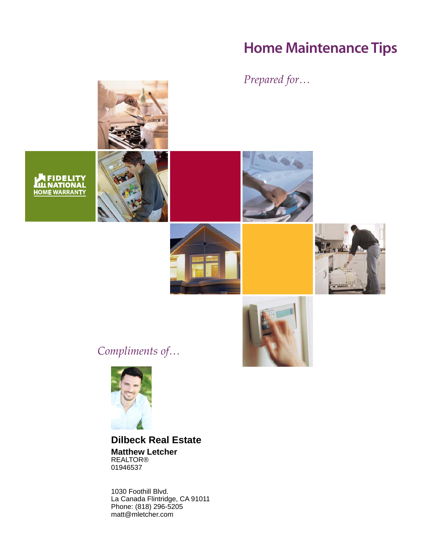# **Home Maintenance Tips**

# *Prepared for…*







*Compliments of…*



**Dilbeck Real Estate Matthew Letcher** REALTOR® 01946537

1030 Foothill Blvd. La Canada Flintridge, CA 91011 Phone: (818) 296-5205 matt@mletcher.com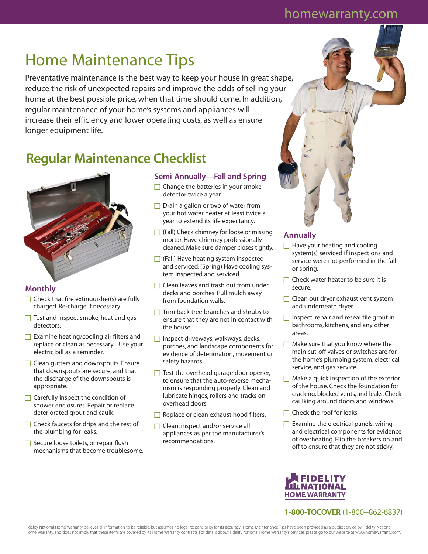# homewarranty.com

# Home Maintenance Tips

Preventative maintenance is the best way to keep your house in great shape, reduce the risk of unexpected repairs and improve the odds of selling your home at the best possible price, when that time should come. In addition, regular maintenance of your home's systems and appliances will increase their efficiency and lower operating costs, as well as ensure longer equipment life.

# **Regular Maintenance Checklist**



### **Monthly**

- $\Box$  Check that fire extinguisher(s) are fully charged. Re-charge if necessary.
- $\Box$  Test and inspect smoke, heat and gas detectors.
- $\Box$  Examine heating/cooling air filters and replace or clean as necessary. Use your electric bill as a reminder.
- $\Box$  Clean gutters and downspouts. Ensure that downspouts are secure, and that the discharge of the downspouts is appropriate.
- $\Box$  Carefully inspect the condition of shower enclosures. Repair or replace deteriorated grout and caulk.
- $\Box$  Check faucets for drips and the rest of the plumbing for leaks.
- $\Box$  Secure loose toilets, or repair flush mechanisms that become troublesome.

#### **Semi-Annually—Fall and Spring**

- $\Box$  Change the batteries in your smoke detector twice a year.
- $\Box$  Drain a gallon or two of water from your hot water heater at least twice a year to extend its life expectancy.
- $\Box$  (Fall) Check chimney for loose or missing mortar. Have chimney professionally cleaned. Make sure damper closes tightly.
- $\Box$  (Fall) Have heating system inspected and serviced. (Spring) Have cooling system inspected and serviced.
- □ Clean leaves and trash out from under decks and porches. Pull mulch away from foundation walls.
- $\Box$  Trim back tree branches and shrubs to ensure that they are not in contact with the house.
- $\Box$  Inspect driveways, walkways, decks, porches, and landscape components for evidence of deterioration, movement or safety hazards.
- $\Box$  Test the overhead garage door opener, to ensure that the auto-reverse mechanism is responding properly. Clean and lubricate hinges, rollers and tracks on overhead doors.
- $\Box$  Replace or clean exhaust hood filters.
- □ Clean, inspect and/or service all appliances as per the manufacturer's recommendations.

### **Annually**

- $\Box$  Have your heating and cooling system(s) serviced if inspections and service were not performed in the fall or spring.
- $\Box$  Check water heater to be sure it is secure.
- □ Clean out dryer exhaust vent system and underneath dryer.
- $\Box$  Inspect, repair and reseal tile grout in bathrooms, kitchens, and any other areas.
- $\Box$  Make sure that you know where the main cut-off valves or switches are for the home's plumbing system, electrical service, and gas service.
- $\Box$  Make a quick inspection of the exterior of the house. Check the foundation for cracking, blocked vents, and leaks. Check caulking around doors and windows.
- $\Box$  Check the roof for leaks.
- $\Box$  Examine the electrical panels, wiring and electrical components for evidence of overheating. Flip the breakers on and off to ensure that they are not sticky.



**1-800-TOCOVER** (1-800--862-6837)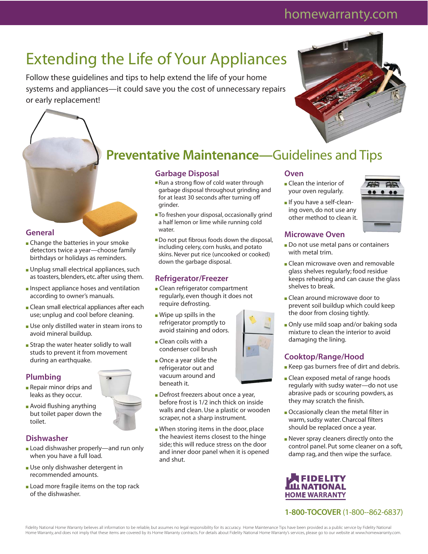# homewarranty.com

# Extending the Life of Your Appliances

Follow these guidelines and tips to help extend the life of your home systems and appliances—it could save you the cost of unnecessary repairs or early replacement!

# **Preventative Maintenance—**Guidelines and Tips

### **Garbage Disposal**

- Run a strong flow of cold water through garbage disposal throughout grinding and for at least 30 seconds after turning off grinder.
- To freshen your disposal, occasionally grind a half lemon or lime while running cold water.
- Do not put fibrous foods down the disposal, including celery, corn husks, and potato skins. Never put rice (uncooked or cooked) down the garbage disposal.

## **Refrigerator/Freezer**

- Clean refrigerator compartment regularly, even though it does not require defrosting.
- Wipe up spills in the refrigerator promptly to avoid staining and odors.
- Clean coils with a condenser coil brush
- Once a year slide the refrigerator out and vacuum around and beneath it.
- Defrost freezers about once a year, before frost is 1/2 inch thick on inside walls and clean. Use a plastic or wooden scraper, not a sharp instrument.
- When storing items in the door, place the heaviest items closest to the hinge side; this will reduce stress on the door and inner door panel when it is opened and shut.

## **Oven**

- Clean the interior of your oven regularly.
- If you have a self-cleaning oven, do not use any other method to clean it.

### **Microwave Oven**

- Do not use metal pans or containers with metal trim.
- Clean microwave oven and removable glass shelves regularly; food residue keeps reheating and can cause the glass shelves to break.
- Clean around microwave door to prevent soil buildup which could keep the door from closing tightly.
- Only use mild soap and/or baking soda mixture to clean the interior to avoid damaging the lining.

## **Cooktop/Range/Hood**

- Keep gas burners free of dirt and debris.
- Clean exposed metal of range hoods regularly with sudsy water—do not use abrasive pads or scouring powders, as they may scratch the finish.
- Occasionally clean the metal filter in warm, sudsy water. Charcoal filters should be replaced once a year.
- Never spray cleaners directly onto the control panel. Put some cleaner on a soft, damp rag, and then wipe the surface.



# **1-800-TOCOVER** (1-800--862-6837)

Fidelity National Home Warranty believes all information to be reliable, but assumes no legal responsibility for its accuracy. Home Maintenance Tips have been provided as a public service by Fidelity National Home Warranty, and does not imply that these items are covered by its Home Warranty contracts. For details about Fidelity National Home Warranty's services, please go to our website at www.homewarranty.com.

#### **General**

- Change the batteries in your smoke detectors twice a year—choose family birthdays or holidays as reminders.
- Unplug small electrical appliances, such as toasters, blenders, etc. after using them.
- Inspect appliance hoses and ventilation according to owner's manuals.
- Clean small electrical appliances after each use; unplug and cool before cleaning.
- Use only distilled water in steam irons to avoid mineral buildup.
- Strap the water heater solidly to wall studs to prevent it from movement during an earthquake.

### **Plumbing**

- Repair minor drips and leaks as they occur.
- Avoid flushing anything but toilet paper down the toilet.

### **Dishwasher**

- Load dishwasher properly—and run only when you have a full load.
- Use only dishwasher detergent in recommended amounts.
- Load more fragile items on the top rack of the dishwasher.